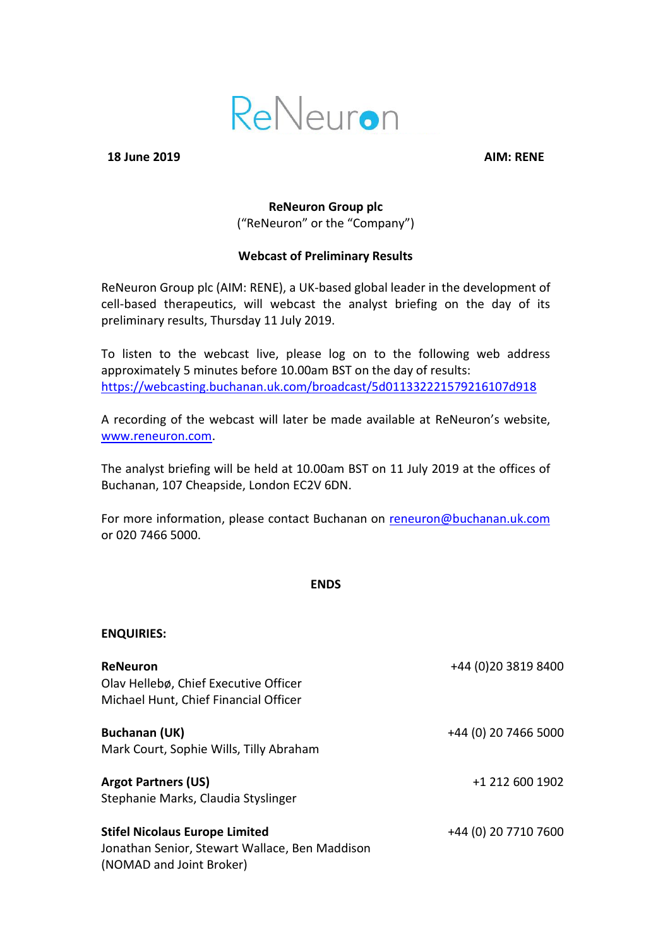

**18 June 2019 AIM: RENE**

**ENQUIRIES:**

## **ReNeuron Group plc** ("ReNeuron" or the "Company")

## **Webcast of Preliminary Results**

ReNeuron Group plc (AIM: RENE), a UK-based global leader in the development of cell-based therapeutics, will webcast the analyst briefing on the day of its preliminary results, Thursday 11 July 2019.

To listen to the webcast live, please log on to the following web address approximately 5 minutes before 10.00am BST on the day of results: <https://webcasting.buchanan.uk.com/broadcast/5d011332221579216107d918>

A recording of the webcast will later be made available at ReNeuron's website, [www.reneuron.com.](http://www.reneuron.com/)

The analyst briefing will be held at 10.00am BST on 11 July 2019 at the offices of Buchanan, 107 Cheapside, London EC2V 6DN.

For more information, please contact Buchanan on [reneuron@buchanan.uk.com](mailto:reneuron@buchanan.uk.com) or 020 7466 5000.

## **ENDS**

| <b>ReNeuron</b><br>Olav Hellebø, Chief Executive Officer<br>Michael Hunt, Chief Financial Officer                   | +44 (0)20 3819 8400  |
|---------------------------------------------------------------------------------------------------------------------|----------------------|
| <b>Buchanan (UK)</b><br>Mark Court, Sophie Wills, Tilly Abraham                                                     | +44 (0) 20 7466 5000 |
| <b>Argot Partners (US)</b><br>Stephanie Marks, Claudia Styslinger                                                   | +1 212 600 1902      |
| <b>Stifel Nicolaus Europe Limited</b><br>Jonathan Senior, Stewart Wallace, Ben Maddison<br>(NOMAD and Joint Broker) | +44 (0) 20 7710 7600 |